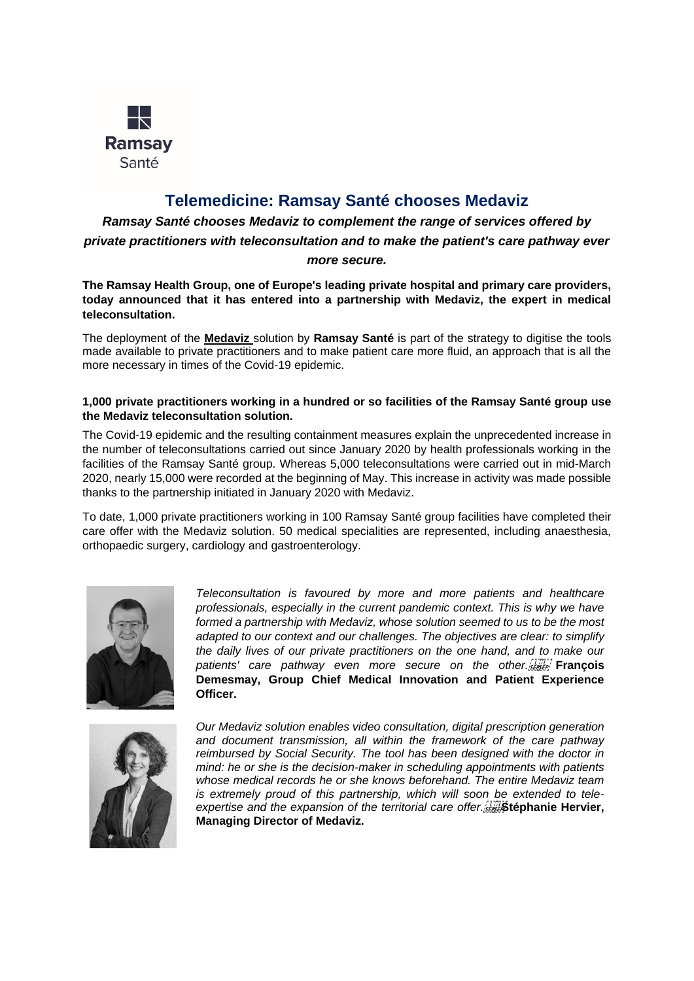

# **Telemedicine: Ramsay Santé chooses Medaviz**

*Ramsay Santé chooses Medaviz to complement the range of services offered by private practitioners with teleconsultation and to make the patient's care pathway ever* 

#### *more secure.*

**The Ramsay Health Group, one of Europe's leading private hospital and primary care providers, today announced that it has entered into a partnership with Medaviz, the expert in medical teleconsultation.**

The deployment of the **[Medaviz](https://www.medaviz.com/)** solution by **[Ramsay Santé](https://ramsaygds.fr/)** is part of the strategy to digitise the tools made available to private practitioners and to make patient care more fluid, an approach that is all the more necessary in times of the Covid-19 epidemic.

## **1,000 private practitioners working in a hundred or so facilities of the Ramsay Santé group use the Medaviz teleconsultation solution.**

The Covid-19 epidemic and the resulting containment measures explain the unprecedented increase in the number of teleconsultations carried out since January 2020 by health professionals working in the facilities of the Ramsay Santé group. Whereas 5,000 teleconsultations were carried out in mid-March 2020, nearly 15,000 were recorded at the beginning of May. This increase in activity was made possible thanks to the partnership initiated in January 2020 with Medaviz.

To date, 1,000 private practitioners working in 100 Ramsay Santé group facilities have completed their care offer with the Medaviz solution. 50 medical specialities are represented, including anaesthesia, orthopaedic surgery, cardiology and gastroenterology.



*Teleconsultation is favoured by more and more patients and healthcare professionals, especially in the current pandemic context. This is why we have formed a partnership with Medaviz, whose solution seemed to us to be the most adapted to our context and our challenges. The objectives are clear: to simplify the daily lives of our private practitioners on the one hand, and to make our patients' care pathway even more secure on the other.* **François Demesmay, Group Chief Medical Innovation and Patient Experience Officer.**



*Our Medaviz solution enables video consultation, digital prescription generation and document transmission, all within the framework of the care pathway reimbursed by Social Security. The tool has been designed with the doctor in mind: he or she is the decision-maker in scheduling appointments with patients whose medical records he or she knows beforehand. The entire Medaviz team is extremely proud of this partnership, which will soon be extended to tele*expertise and the expansion of the territorial care offer. **Stephanie Hervier**, **Managing Director of Medaviz.**